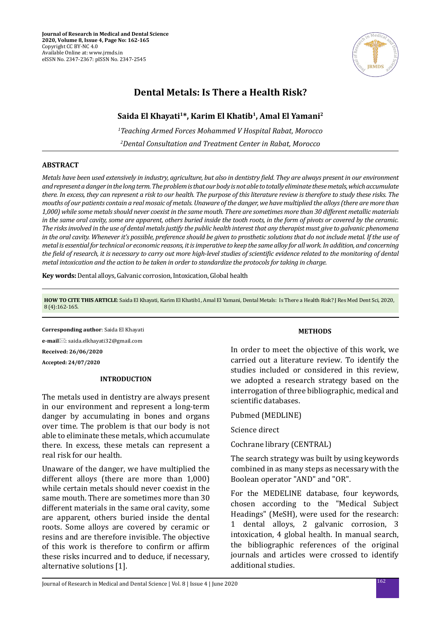

# **Dental Metals: Is There a Health Risk?**

## Saida El Khayati<sup>1\*</sup>, Karim El Khatib<sup>1</sup>, Amal El Yamani<sup>2</sup>

*1 Teaching Armed Forces Mohammed V Hospital Rabat, Morocco 2 Dental Consultation and Treatment Center in Rabat, Morocco*

### **ABSTRACT**

*Metals have been used extensively in industry, agriculture, but also in dentistry field. They are always present in our environment and represent a danger in the long term. The problem is that our body is not able to totally eliminate these metals, which accumulate there. In excess, they can represent a risk to our health. The purpose of this literature review is therefore to study these risks. The mouths of our patients contain a real mosaic of metals. Unaware of the danger, we have multiplied the alloys (there are more than 1,000) while some metals should never coexist in the same mouth. There are sometimes more than 30 different metallic materials in the same oral cavity, some are apparent, others buried inside the tooth roots, in the form of pivots or covered by the ceramic. The risks involved in the use of dental metals justify the public health interest that any therapist must give to galvanic phenomena in the oral cavity. Whenever it's possible, preference should be given to prosthetic solutions that do not include metal. If the use of metal is essential for technical or economic reasons, it is imperative to keep the same alloy for all work. In addition, and concerning the field of research, it is necessary to carry out more high-level studies of scientific evidence related to the monitoring of dental metal intoxication and the action to be taken in order to standardize the protocols for taking in charge.*

**Key words:** Dental alloys, Galvanic corrosion, Intoxication, Global health

**HOW TO CITE THIS ARTICLE**: Saida El Khayati, Karim El Khatib1, Amal El Yamani, Dental Metals: Is There a Health Risk? J Res Med Dent Sci, 2020, 8 (4):162-165.

**Corresponding author**: Saida El Khayati **e-mail**: saida.elkhayati32@gmail.com **Received: 26/06/2020 Accepted: 24/07/2020**

## **INTRODUCTION**

The metals used in dentistry are always present in our environment and represent a long-term danger by accumulating in bones and organs over time. The problem is that our body is not able to eliminate these metals, which accumulate there. In excess, these metals can represent a real risk for our health.

Unaware of the danger, we have multiplied the different alloys (there are more than 1,000) while certain metals should never coexist in the same mouth. There are sometimes more than 30 different materials in the same oral cavity, some are apparent, others buried inside the dental roots. Some alloys are covered by ceramic or resins and are therefore invisible. The objective of this work is therefore to confirm or affirm these risks incurred and to deduce, if necessary, alternative solutions [1].

#### **METHODS**

In order to meet the objective of this work, we carried out a literature review. To identify the studies included or considered in this review, we adopted a research strategy based on the interrogation of three bibliographic, medical and scientific databases.

Pubmed (MEDLINE)

Science direct

Cochrane library (CENTRAL)

The search strategy was built by using keywords combined in as many steps as necessary with the Boolean operator "AND" and "OR".

For the MEDELINE database, four keywords, chosen according to the "Medical Subject Headings" (MeSH), were used for the research: 1 dental alloys, 2 galvanic corrosion, 3 intoxication, 4 global health. In manual search, the bibliographic references of the original journals and articles were crossed to identify additional studies.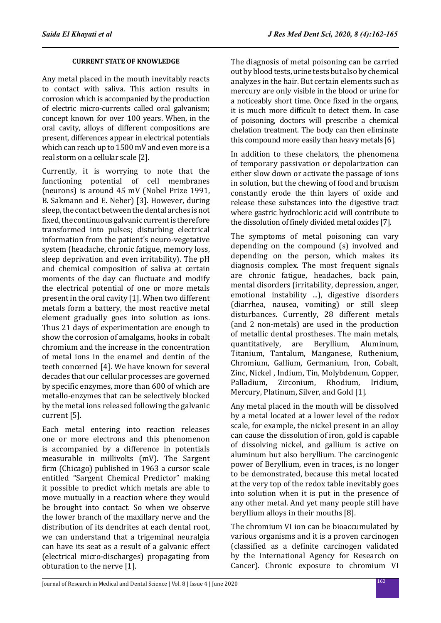## **CURRENT STATE OF KNOWLEDGE**

Any metal placed in the mouth inevitably reacts to contact with saliva. This action results in corrosion which is accompanied by the production of electric micro-currents called oral galvanism; concept known for over 100 years. When, in the oral cavity, alloys of different compositions are present, differences appear in electrical potentials which can reach up to 1500 mV and even more is a real storm on a cellular scale [2].

Currently, it is worrying to note that the functioning potential of cell membranes (neurons) is around 45 mV (Nobel Prize 1991, B. Sakmann and E. Neher) [3]. However, during sleep, the contact between the dental arches is not fixed, the continuous galvanic current is therefore transformed into pulses; disturbing electrical information from the patient's neuro-vegetative system (headache, chronic fatigue, memory loss, sleep deprivation and even irritability). The pH and chemical composition of saliva at certain moments of the day can fluctuate and modify the electrical potential of one or more metals present in the oral cavity [1]. When two different metals form a battery, the most reactive metal element gradually goes into solution as ions. Thus 21 days of experimentation are enough to show the corrosion of amalgams, hooks in cobalt chromium and the increase in the concentration of metal ions in the enamel and dentin of the teeth concerned [4]. We have known for several decades that our cellular processes are governed by specific enzymes, more than 600 of which are metallo-enzymes that can be selectively blocked by the metal ions released following the galvanic current [5].

Each metal entering into reaction releases one or more electrons and this phenomenon is accompanied by a difference in potentials measurable in millivolts (mV). The Sargent firm (Chicago) published in 1963 a cursor scale entitled "Sargent Chemical Predictor" making it possible to predict which metals are able to move mutually in a reaction where they would be brought into contact. So when we observe the lower branch of the maxillary nerve and the distribution of its dendrites at each dental root, we can understand that a trigeminal neuralgia can have its seat as a result of a galvanic effect (electrical micro-discharges) propagating from obturation to the nerve [1].

The diagnosis of metal poisoning can be carried out by blood tests, urine tests but also by chemical analyzes in the hair. But certain elements such as mercury are only visible in the blood or urine for a noticeably short time. Once fixed in the organs, it is much more difficult to detect them. In case of poisoning, doctors will prescribe a chemical chelation treatment. The body can then eliminate this compound more easily than heavy metals [6].

In addition to these chelators, the phenomena of temporary passivation or depolarization can either slow down or activate the passage of ions in solution, but the chewing of food and bruxism constantly erode the thin layers of oxide and release these substances into the digestive tract where gastric hydrochloric acid will contribute to the dissolution of finely divided metal oxides [7].

The symptoms of metal poisoning can vary depending on the compound (s) involved and depending on the person, which makes its diagnosis complex. The most frequent signals are chronic fatigue, headaches, back pain, mental disorders (irritability, depression, anger, emotional instability ...), digestive disorders (diarrhea, nausea, vomiting) or still sleep disturbances. Currently, 28 different metals (and 2 non-metals) are used in the production of metallic dental prostheses. The main metals,<br>quantitatively, are Beryllium, Aluminum, quantitatively, Titanium, Tantalum, Manganese, Ruthenium, Chromium, Gallium, Germanium, Iron, Cobalt, Zinc, Nickel , Indium, Tin, Molybdenum, Copper, Zirconium, Rhodium, Mercury, Platinum, Silver, and Gold [1].

Any metal placed in the mouth will be dissolved by a metal located at a lower level of the redox scale, for example, the nickel present in an alloy can cause the dissolution of iron, gold is capable of dissolving nickel, and gallium is active on aluminum but also beryllium. The carcinogenic power of Beryllium, even in traces, is no longer to be demonstrated, because this metal located at the very top of the redox table inevitably goes into solution when it is put in the presence of any other metal. And yet many people still have beryllium alloys in their mouths [8].

The chromium VI ion can be bioaccumulated by various organisms and it is a proven carcinogen (classified as a definite carcinogen validated by the International Agency for Research on Cancer). Chronic exposure to chromium VI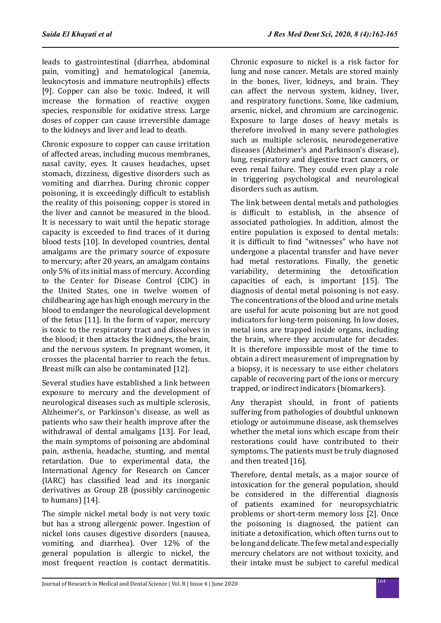leads to gastrointestinal (diarrhea, abdominal pain, vomiting) and hematological (anemia, leukocytosis and immature neutrophils) effects [9]. Copper can also be toxic. Indeed, it will increase the formation of reactive oxygen species, responsible for oxidative stress. Large doses of copper can cause irreversible damage to the kidneys and liver and lead to death.

Chronic exposure to copper can cause irritation of affected areas, including mucous membranes, nasal cavity, eyes. It causes headaches, upset stomach, dizziness, digestive disorders such as vomiting and diarrhea. During chronic copper poisoning, it is exceedingly difficult to establish the reality of this poisoning; copper is stored in the liver and cannot be measured in the blood. It is necessary to wait until the hepatic storage capacity is exceeded to find traces of it during blood tests [10]. In developed countries, dental amalgams are the primary source of exposure to mercury; after 20 years, an amalgam contains only 5% of its initial mass of mercury. According to the Center for Disease Control (CDC) in the United States, one in twelve women of childbearing age has high enough mercury in the blood to endanger the neurological development of the fetus [11]. In the form of vapor, mercury is toxic to the respiratory tract and dissolves in the blood; it then attacks the kidneys, the brain, and the nervous system. In pregnant women, it crosses the placental barrier to reach the fetus. Breast milk can also be contaminated [12].

Several studies have established a link between exposure to mercury and the development of neurological diseases such as multiple sclerosis, Alzheimer's, or Parkinson's disease, as well as patients who saw their health improve after the withdrawal of dental amalgams [13]. For lead, the main symptoms of poisoning are abdominal pain, asthenia, headache, stunting, and mental retardation. Due to experimental data, the International Agency for Research on Cancer (IARC) has classified lead and its inorganic derivatives as Group 2B (possibly carcinogenic to humans) [14].

The simple nickel metal body is not very toxic but has a strong allergenic power. Ingestion of nickel ions causes digestive disorders (nausea, vomiting, and diarrhea). Over 12% of the general population is allergic to nickel, the most frequent reaction is contact dermatitis. Chronic exposure to nickel is a risk factor for lung and nose cancer. Metals are stored mainly in the bones, liver, kidneys, and brain. They can affect the nervous system, kidney, liver, and respiratory functions. Some, like cadmium, arsenic, nickel, and chromium are carcinogenic. Exposure to large doses of heavy metals is therefore involved in many severe pathologies such as multiple sclerosis, neurodegenerative diseases (Alzheimer's and Parkinson's disease), lung, respiratory and digestive tract cancers, or even renal failure. They could even play a role in triggering psychological and neurological disorders such as autism.

The link between dental metals and pathologies is difficult to establish, in the absence of associated pathologies. In addition, almost the entire population is exposed to dental metals: it is difficult to find "witnesses" who have not undergone a placental transfer and have never had metal restorations. Finally, the genetic variability, determining the detoxification capacities of each, is important [15]. The diagnosis of dental metal poisoning is not easy. The concentrations of the blood and urine metals are useful for acute poisoning but are not good indicators for long-term poisoning. In low doses, metal ions are trapped inside organs, including the brain, where they accumulate for decades. It is therefore impossible most of the time to obtain a direct measurement of impregnation by a biopsy, it is necessary to use either chelators capable of recovering part of the ions or mercury trapped, or indirect indicators (biomarkers).

Any therapist should, in front of patients suffering from pathologies of doubtful unknown etiology or autoimmune disease, ask themselves whether the metal ions which escape from their restorations could have contributed to their symptoms. The patients must be truly diagnosed and then treated [16].

Therefore, dental metals, as a major source of intoxication for the general population, should be considered in the differential diagnosis of patients examined for neuropsychiatric problems or short-term memory loss [2]. Once the poisoning is diagnosed, the patient can initiate a detoxification, which often turns out to be long and delicate. The few metal and especially mercury chelators are not without toxicity, and their intake must be subject to careful medical